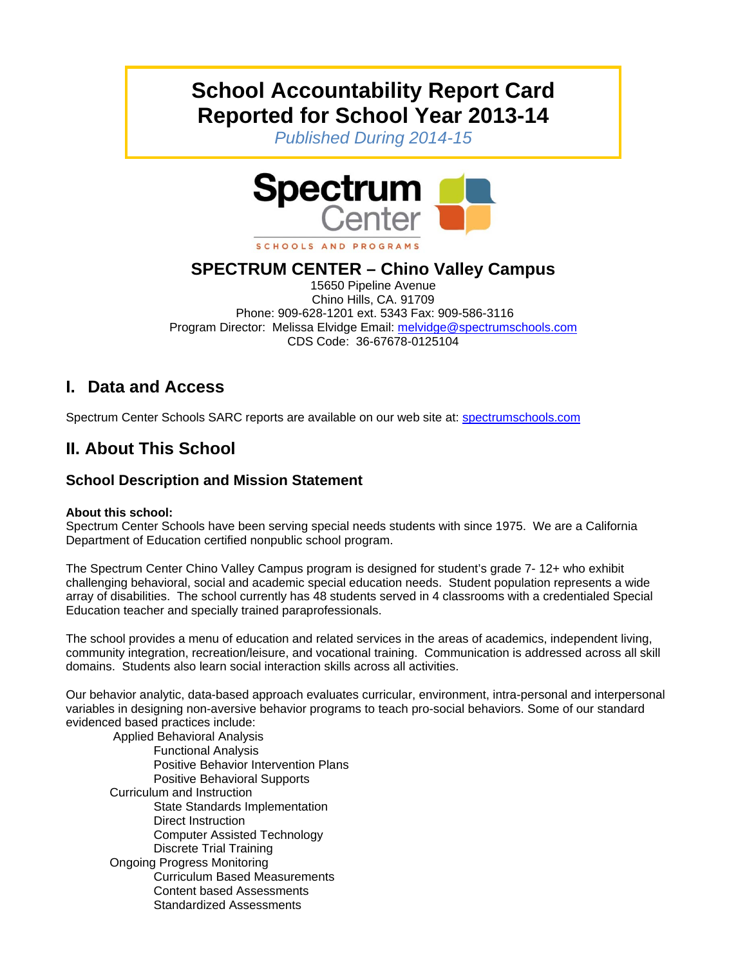# **School Accountability Report Card Reported for School Year 2013-14**

*Published During 2014-15* 



#### SCHOOLS AND PROGRAMS

## **SPECTRUM CENTER – Chino Valley Campus**

15650 Pipeline Avenue Chino Hills, CA. 91709 Phone: 909-628-1201 ext. 5343 Fax: 909-586-3116 Program Director: Melissa Elvidge Email: melvidge@spectrumschools.com CDS Code: 36-67678-0125104

## **I. Data and Access**

Spectrum Center Schools SARC reports are available on our web site at: spectrumschools.com

## **II. About This School**

### **School Description and Mission Statement**

#### **About this school:**

Spectrum Center Schools have been serving special needs students with since 1975. We are a California Department of Education certified nonpublic school program.

The Spectrum Center Chino Valley Campus program is designed for student's grade 7- 12+ who exhibit challenging behavioral, social and academic special education needs. Student population represents a wide array of disabilities. The school currently has 48 students served in 4 classrooms with a credentialed Special Education teacher and specially trained paraprofessionals.

The school provides a menu of education and related services in the areas of academics, independent living, community integration, recreation/leisure, and vocational training. Communication is addressed across all skill domains. Students also learn social interaction skills across all activities.

Our behavior analytic, data-based approach evaluates curricular, environment, intra-personal and interpersonal variables in designing non-aversive behavior programs to teach pro-social behaviors. Some of our standard evidenced based practices include:

 Applied Behavioral Analysis Functional Analysis Positive Behavior Intervention Plans Positive Behavioral Supports Curriculum and Instruction State Standards Implementation Direct Instruction Computer Assisted Technology Discrete Trial Training Ongoing Progress Monitoring Curriculum Based Measurements Content based Assessments Standardized Assessments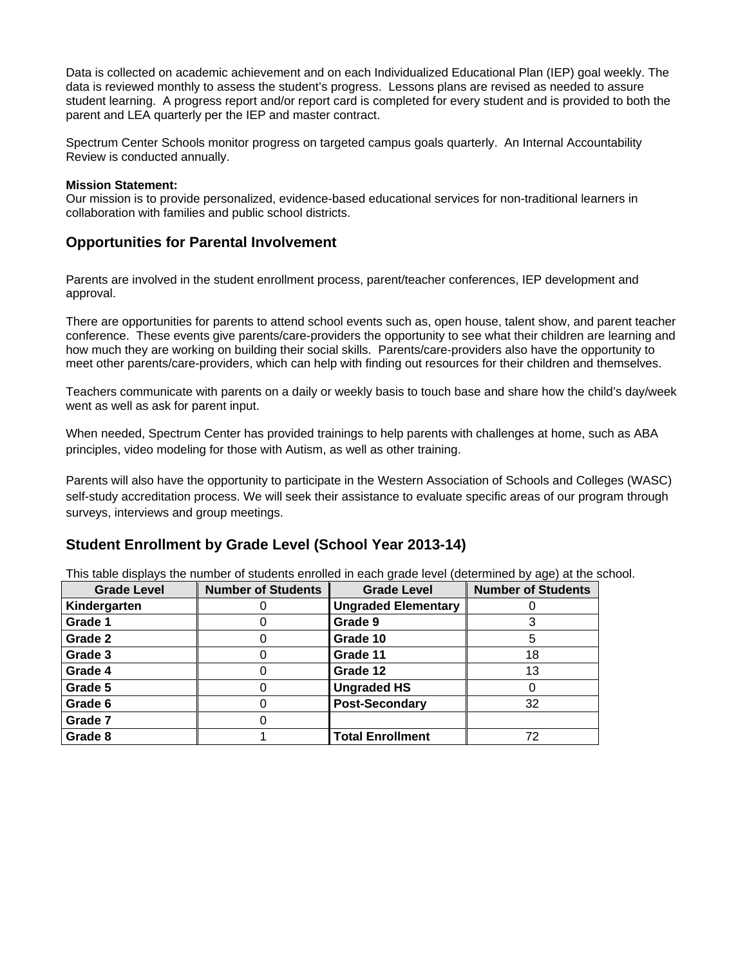Data is collected on academic achievement and on each Individualized Educational Plan (IEP) goal weekly. The data is reviewed monthly to assess the student's progress. Lessons plans are revised as needed to assure student learning. A progress report and/or report card is completed for every student and is provided to both the parent and LEA quarterly per the IEP and master contract.

Spectrum Center Schools monitor progress on targeted campus goals quarterly. An Internal Accountability Review is conducted annually.

#### **Mission Statement:**

Our mission is to provide personalized, evidence-based educational services for non-traditional learners in collaboration with families and public school districts.

#### **Opportunities for Parental Involvement**

Parents are involved in the student enrollment process, parent/teacher conferences, IEP development and approval.

There are opportunities for parents to attend school events such as, open house, talent show, and parent teacher conference. These events give parents/care-providers the opportunity to see what their children are learning and how much they are working on building their social skills. Parents/care-providers also have the opportunity to meet other parents/care-providers, which can help with finding out resources for their children and themselves.

Teachers communicate with parents on a daily or weekly basis to touch base and share how the child's day/week went as well as ask for parent input.

When needed, Spectrum Center has provided trainings to help parents with challenges at home, such as ABA principles, video modeling for those with Autism, as well as other training.

Parents will also have the opportunity to participate in the Western Association of Schools and Colleges (WASC) self-study accreditation process. We will seek their assistance to evaluate specific areas of our program through surveys, interviews and group meetings.

#### **Student Enrollment by Grade Level (School Year 2013-14)**

This table displays the number of students enrolled in each grade level (determined by age) at the school.

| <b>Grade Level</b> | <b>Number of Students</b> | <b>Grade Level</b>         | <b>Number of Students</b> |
|--------------------|---------------------------|----------------------------|---------------------------|
| Kindergarten       |                           | <b>Ungraded Elementary</b> |                           |
| Grade 1            |                           | Grade 9                    |                           |
| Grade 2            |                           | Grade 10                   |                           |
| Grade 3            |                           | Grade 11                   | 18                        |
| Grade 4            |                           | Grade 12                   | 13                        |
| Grade 5            |                           | <b>Ungraded HS</b>         |                           |
| Grade 6            |                           | <b>Post-Secondary</b>      | 32                        |
| Grade 7            |                           |                            |                           |
| Grade 8            |                           | <b>Total Enrollment</b>    | 72                        |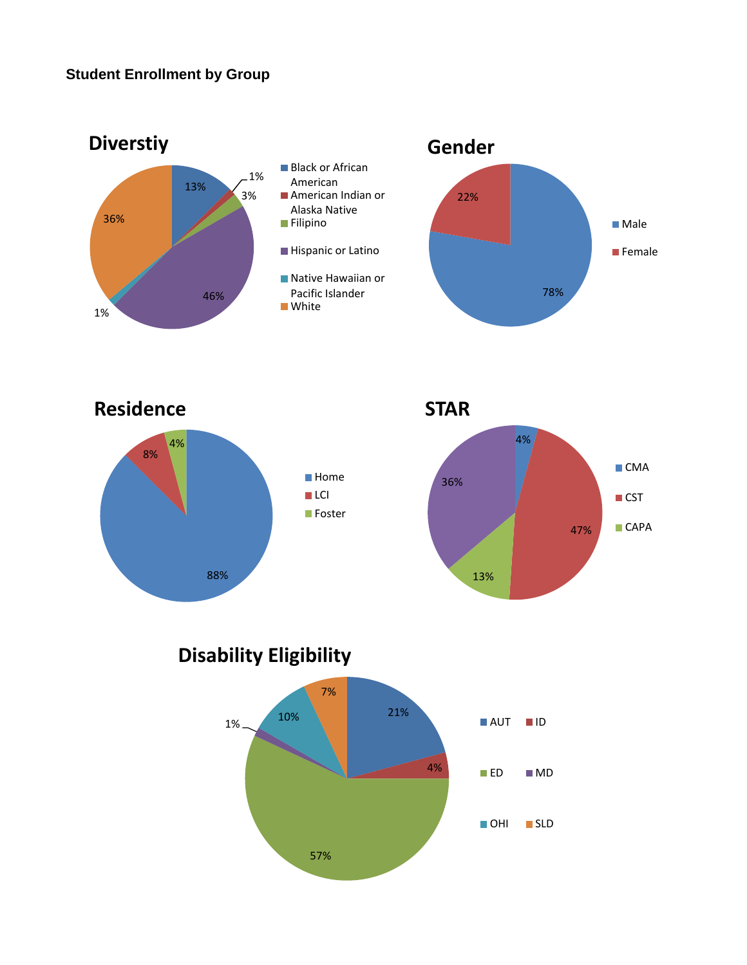





**Disability Eligibility**

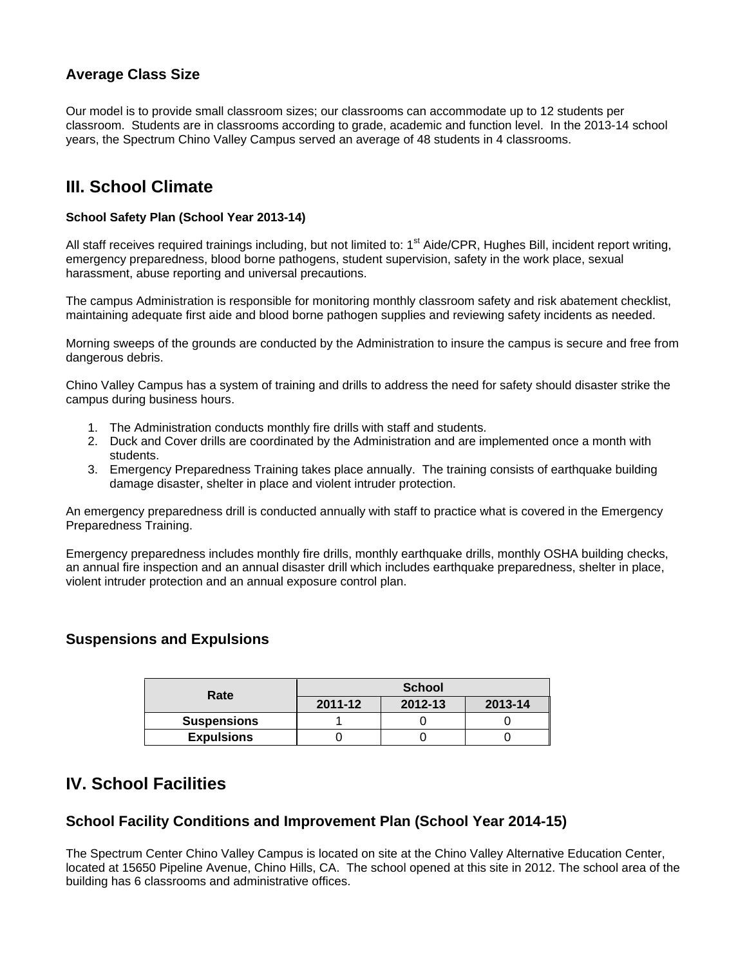## **Average Class Size**

Our model is to provide small classroom sizes; our classrooms can accommodate up to 12 students per classroom. Students are in classrooms according to grade, academic and function level. In the 2013-14 school years, the Spectrum Chino Valley Campus served an average of 48 students in 4 classrooms.

## **III. School Climate**

#### **School Safety Plan (School Year 2013-14)**

All staff receives required trainings including, but not limited to: 1<sup>st</sup> Aide/CPR, Hughes Bill, incident report writing, emergency preparedness, blood borne pathogens, student supervision, safety in the work place, sexual harassment, abuse reporting and universal precautions.

The campus Administration is responsible for monitoring monthly classroom safety and risk abatement checklist, maintaining adequate first aide and blood borne pathogen supplies and reviewing safety incidents as needed.

Morning sweeps of the grounds are conducted by the Administration to insure the campus is secure and free from dangerous debris.

Chino Valley Campus has a system of training and drills to address the need for safety should disaster strike the campus during business hours.

- 1. The Administration conducts monthly fire drills with staff and students.
- 2. Duck and Cover drills are coordinated by the Administration and are implemented once a month with students.
- 3. Emergency Preparedness Training takes place annually. The training consists of earthquake building damage disaster, shelter in place and violent intruder protection.

An emergency preparedness drill is conducted annually with staff to practice what is covered in the Emergency Preparedness Training.

Emergency preparedness includes monthly fire drills, monthly earthquake drills, monthly OSHA building checks, an annual fire inspection and an annual disaster drill which includes earthquake preparedness, shelter in place, violent intruder protection and an annual exposure control plan.

### **Suspensions and Expulsions**

| Rate               | <b>School</b> |         |         |  |
|--------------------|---------------|---------|---------|--|
|                    | 2011-12       | 2012-13 | 2013-14 |  |
| <b>Suspensions</b> |               |         |         |  |
| <b>Expulsions</b>  |               |         |         |  |

## **IV. School Facilities**

### **School Facility Conditions and Improvement Plan (School Year 2014-15)**

The Spectrum Center Chino Valley Campus is located on site at the Chino Valley Alternative Education Center, located at 15650 Pipeline Avenue, Chino Hills, CA. The school opened at this site in 2012. The school area of the building has 6 classrooms and administrative offices.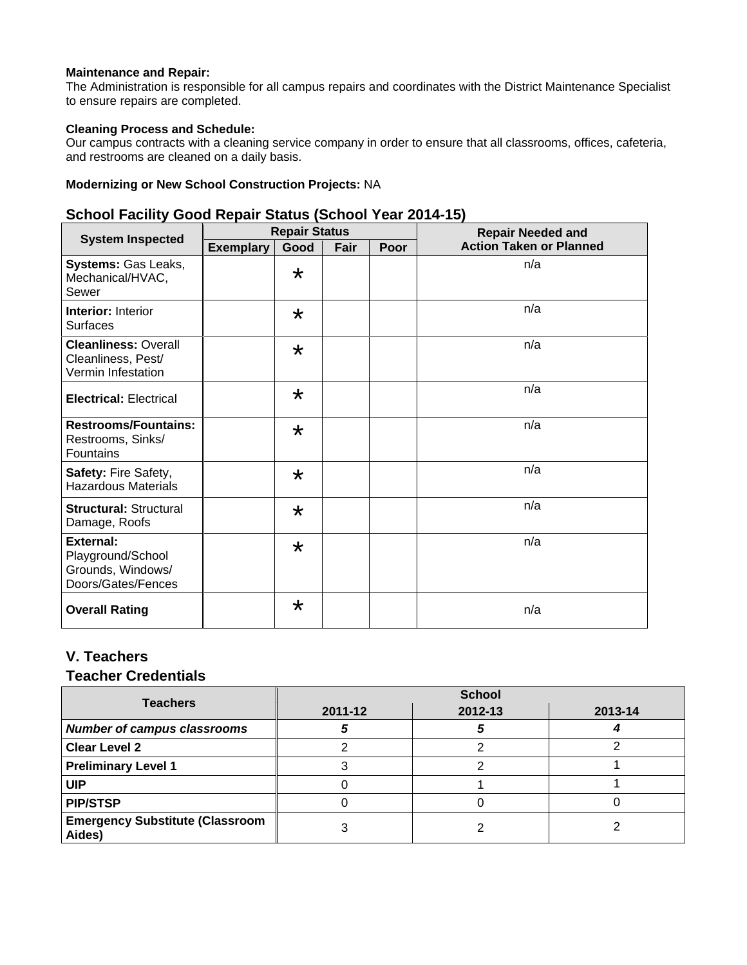#### **Maintenance and Repair:**

The Administration is responsible for all campus repairs and coordinates with the District Maintenance Specialist to ensure repairs are completed.

#### **Cleaning Process and Schedule:**

Our campus contracts with a cleaning service company in order to ensure that all classrooms, offices, cafeteria, and restrooms are cleaned on a daily basis.

#### **Modernizing or New School Construction Projects:** NA

### **School Facility Good Repair Status (School Year 2014-15)**

|                                                                                  | <b>Repair Status</b> |         |      |      | <b>Repair Needed and</b>       |  |
|----------------------------------------------------------------------------------|----------------------|---------|------|------|--------------------------------|--|
| <b>System Inspected</b>                                                          | <b>Exemplary</b>     | Good    | Fair | Poor | <b>Action Taken or Planned</b> |  |
| Systems: Gas Leaks,<br>Mechanical/HVAC,<br>Sewer                                 |                      | $\star$ |      |      | n/a                            |  |
| <b>Interior: Interior</b><br><b>Surfaces</b>                                     |                      | $\star$ |      |      | n/a                            |  |
| <b>Cleanliness: Overall</b><br>Cleanliness, Pest/<br>Vermin Infestation          |                      | $\star$ |      |      | n/a                            |  |
| <b>Electrical: Electrical</b>                                                    |                      | $\star$ |      |      | n/a                            |  |
| <b>Restrooms/Fountains:</b><br>Restrooms, Sinks/<br>Fountains                    |                      | $\star$ |      |      | n/a                            |  |
| Safety: Fire Safety,<br><b>Hazardous Materials</b>                               |                      | $\star$ |      |      | n/a                            |  |
| <b>Structural: Structural</b><br>Damage, Roofs                                   |                      | $\star$ |      |      | n/a                            |  |
| <b>External:</b><br>Playground/School<br>Grounds, Windows/<br>Doors/Gates/Fences |                      | $\star$ |      |      | n/a                            |  |
| <b>Overall Rating</b>                                                            |                      | $\star$ |      |      | n/a                            |  |

## **V. Teachers**

#### **Teacher Credentials**

| <b>Teachers</b>                                  | <b>School</b> |         |         |  |
|--------------------------------------------------|---------------|---------|---------|--|
|                                                  | 2011-12       | 2012-13 | 2013-14 |  |
| <b>Number of campus classrooms</b>               |               |         |         |  |
| <b>Clear Level 2</b>                             |               |         |         |  |
| <b>Preliminary Level 1</b>                       |               |         |         |  |
| <b>UIP</b>                                       |               |         |         |  |
| <b>PIP/STSP</b>                                  |               |         |         |  |
| <b>Emergency Substitute (Classroom</b><br>Aides) |               |         |         |  |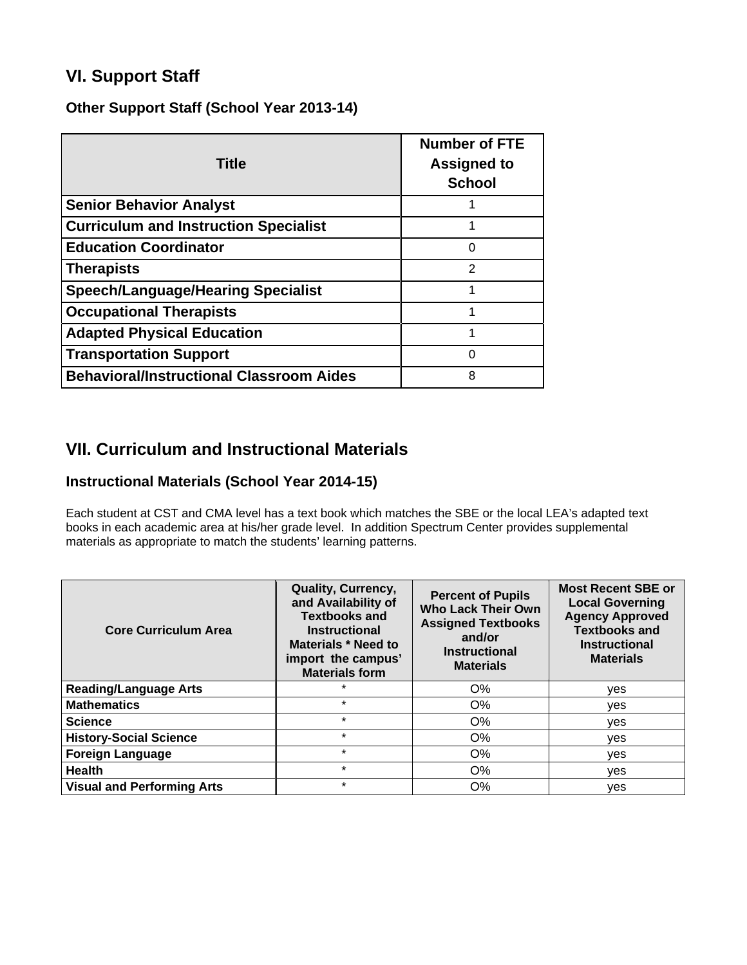## **VI. Support Staff**

### **Other Support Staff (School Year 2013-14)**

| <b>Title</b>                                    | <b>Number of FTE</b><br><b>Assigned to</b><br><b>School</b> |
|-------------------------------------------------|-------------------------------------------------------------|
| <b>Senior Behavior Analyst</b>                  |                                                             |
| <b>Curriculum and Instruction Specialist</b>    |                                                             |
| <b>Education Coordinator</b>                    | 0                                                           |
| <b>Therapists</b>                               | $\mathcal{P}$                                               |
| <b>Speech/Language/Hearing Specialist</b>       |                                                             |
| <b>Occupational Therapists</b>                  |                                                             |
| <b>Adapted Physical Education</b>               |                                                             |
| <b>Transportation Support</b>                   | 0                                                           |
| <b>Behavioral/Instructional Classroom Aides</b> | 8                                                           |

## **VII. Curriculum and Instructional Materials**

## **Instructional Materials (School Year 2014-15)**

Each student at CST and CMA level has a text book which matches the SBE or the local LEA's adapted text books in each academic area at his/her grade level. In addition Spectrum Center provides supplemental materials as appropriate to match the students' learning patterns.

| <b>Core Curriculum Area</b>       | Quality, Currency,<br>and Availability of<br><b>Textbooks and</b><br><b>Instructional</b><br>Materials * Need to<br>import the campus'<br><b>Materials form</b> | <b>Percent of Pupils</b><br><b>Who Lack Their Own</b><br><b>Assigned Textbooks</b><br>and/or<br><b>Instructional</b><br><b>Materials</b> | <b>Most Recent SBE or</b><br><b>Local Governing</b><br><b>Agency Approved</b><br><b>Textbooks and</b><br><b>Instructional</b><br><b>Materials</b> |
|-----------------------------------|-----------------------------------------------------------------------------------------------------------------------------------------------------------------|------------------------------------------------------------------------------------------------------------------------------------------|---------------------------------------------------------------------------------------------------------------------------------------------------|
| <b>Reading/Language Arts</b>      | $\star$                                                                                                                                                         | $O\%$                                                                                                                                    | yes                                                                                                                                               |
| <b>Mathematics</b>                | $\star$                                                                                                                                                         | $O\%$                                                                                                                                    | ves                                                                                                                                               |
| <b>Science</b>                    | $\star$                                                                                                                                                         | O%                                                                                                                                       | ves                                                                                                                                               |
| <b>History-Social Science</b>     | $\star$                                                                                                                                                         | O%                                                                                                                                       | yes                                                                                                                                               |
| <b>Foreign Language</b>           | $\star$                                                                                                                                                         | O%                                                                                                                                       | yes                                                                                                                                               |
| <b>Health</b>                     | $\star$                                                                                                                                                         | $O\%$                                                                                                                                    | ves                                                                                                                                               |
| <b>Visual and Performing Arts</b> | $\star$                                                                                                                                                         | $O\%$                                                                                                                                    | yes                                                                                                                                               |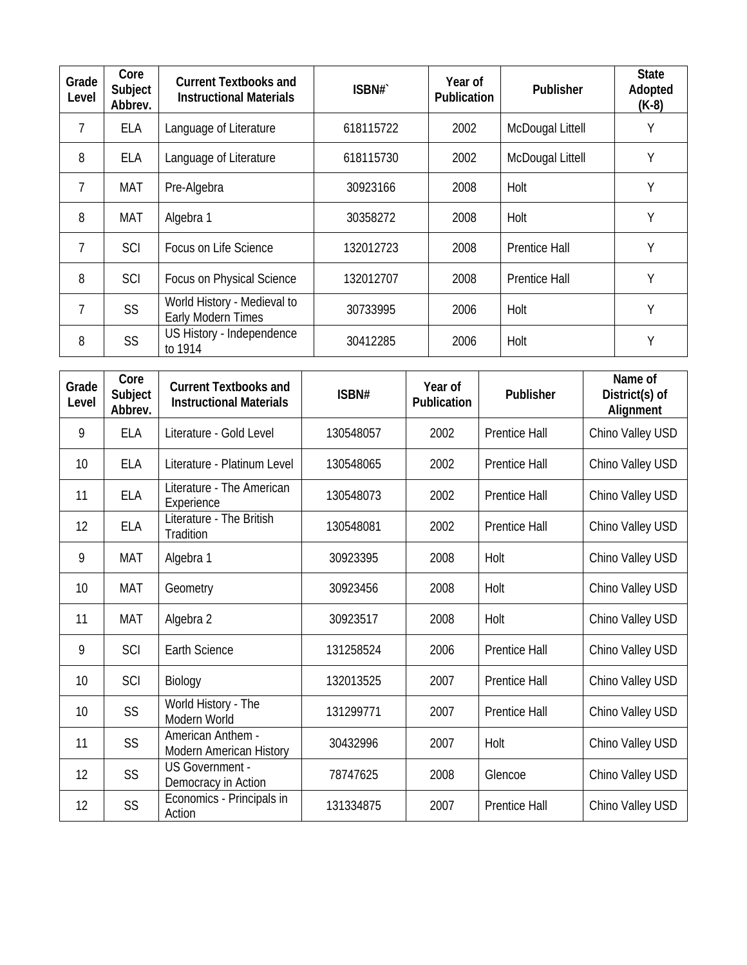| Grade<br>Level | Core<br>Subject<br>Abbrev. | <b>Current Textbooks and</b><br><b>Instructional Materials</b> | ISBN#`    | Year of<br><b>Publication</b> | <b>Publisher</b>     | <b>State</b><br>Adopted<br>$(K-8)$ |
|----------------|----------------------------|----------------------------------------------------------------|-----------|-------------------------------|----------------------|------------------------------------|
|                | ELA                        | Language of Literature                                         | 618115722 | 2002                          | McDougal Littell     | Υ                                  |
| 8              | ELA                        | Language of Literature                                         | 618115730 | 2002                          | McDougal Littell     | Υ                                  |
| 7              | MAT                        | Pre-Algebra                                                    | 30923166  | 2008                          | Holt                 | Y                                  |
| 8              | <b>MAT</b>                 | Algebra 1                                                      | 30358272  | 2008                          | Holt                 | Υ                                  |
| 7              | <b>SCI</b>                 | Focus on Life Science                                          | 132012723 | 2008                          | <b>Prentice Hall</b> | Υ                                  |
| 8              | <b>SCI</b>                 | Focus on Physical Science                                      | 132012707 | 2008                          | <b>Prentice Hall</b> | Υ                                  |
| 7              | <b>SS</b>                  | World History - Medieval to<br>Early Modern Times              | 30733995  | 2006                          | Holt                 | Υ                                  |
| 8              | <b>SS</b>                  | US History - Independence<br>to 1914                           | 30412285  | 2006                          | Holt                 | Υ                                  |

| Grade<br>Level | Core<br>Subject<br>Abbrev. | <b>Current Textbooks and</b><br><b>Instructional Materials</b> | ISBN#     | Year of<br><b>Publication</b> | Publisher            | Name of<br>District(s) of<br>Alignment |
|----------------|----------------------------|----------------------------------------------------------------|-----------|-------------------------------|----------------------|----------------------------------------|
| 9              | <b>ELA</b>                 | Literature - Gold Level                                        | 130548057 | 2002                          | <b>Prentice Hall</b> | Chino Valley USD                       |
| 10             | <b>ELA</b>                 | Literature - Platinum Level                                    | 130548065 | 2002                          | <b>Prentice Hall</b> | Chino Valley USD                       |
| 11             | <b>ELA</b>                 | Literature - The American<br>Experience                        | 130548073 | 2002                          | <b>Prentice Hall</b> | Chino Valley USD                       |
| 12             | <b>ELA</b>                 | Literature - The British<br>Tradition                          | 130548081 | 2002                          | <b>Prentice Hall</b> | Chino Valley USD                       |
| 9              | <b>MAT</b>                 | Algebra 1                                                      | 30923395  | 2008                          | Holt                 | Chino Valley USD                       |
| 10             | <b>MAT</b>                 | Geometry                                                       | 30923456  | 2008                          | Holt                 | Chino Valley USD                       |
| 11             | <b>MAT</b>                 | Algebra 2                                                      | 30923517  | 2008                          | Holt                 | Chino Valley USD                       |
| 9              | SCI                        | <b>Earth Science</b>                                           | 131258524 | 2006                          | <b>Prentice Hall</b> | Chino Valley USD                       |
| 10             | SCI                        | Biology                                                        | 132013525 | 2007                          | <b>Prentice Hall</b> | Chino Valley USD                       |
| 10             | <b>SS</b>                  | World History - The<br>Modern World                            | 131299771 | 2007                          | <b>Prentice Hall</b> | Chino Valley USD                       |
| 11             | <b>SS</b>                  | American Anthem -<br><b>Modern American History</b>            | 30432996  | 2007                          | Holt                 | Chino Valley USD                       |
| 12             | <b>SS</b>                  | <b>US Government -</b><br>Democracy in Action                  | 78747625  | 2008                          | Glencoe              | Chino Valley USD                       |
| 12             | <b>SS</b>                  | Economics - Principals in<br>Action                            | 131334875 | 2007                          | <b>Prentice Hall</b> | Chino Valley USD                       |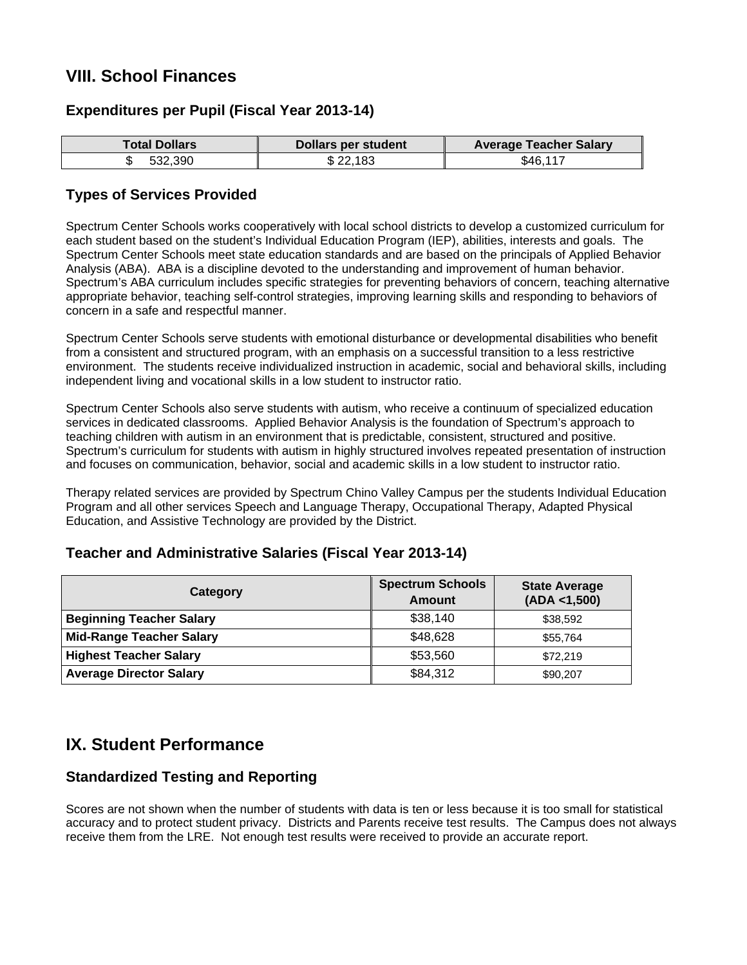## **VIII. School Finances**

### **Expenditures per Pupil (Fiscal Year 2013-14)**

| Total Dollars | <b>Dollars per student</b> | <b>Average Teacher Salary</b> |
|---------------|----------------------------|-------------------------------|
| 532.390<br>D  | \$22,183                   | \$46,117                      |

### **Types of Services Provided**

Spectrum Center Schools works cooperatively with local school districts to develop a customized curriculum for each student based on the student's Individual Education Program (IEP), abilities, interests and goals. The Spectrum Center Schools meet state education standards and are based on the principals of Applied Behavior Analysis (ABA). ABA is a discipline devoted to the understanding and improvement of human behavior. Spectrum's ABA curriculum includes specific strategies for preventing behaviors of concern, teaching alternative appropriate behavior, teaching self-control strategies, improving learning skills and responding to behaviors of concern in a safe and respectful manner.

Spectrum Center Schools serve students with emotional disturbance or developmental disabilities who benefit from a consistent and structured program, with an emphasis on a successful transition to a less restrictive environment. The students receive individualized instruction in academic, social and behavioral skills, including independent living and vocational skills in a low student to instructor ratio.

Spectrum Center Schools also serve students with autism, who receive a continuum of specialized education services in dedicated classrooms. Applied Behavior Analysis is the foundation of Spectrum's approach to teaching children with autism in an environment that is predictable, consistent, structured and positive. Spectrum's curriculum for students with autism in highly structured involves repeated presentation of instruction and focuses on communication, behavior, social and academic skills in a low student to instructor ratio.

Therapy related services are provided by Spectrum Chino Valley Campus per the students Individual Education Program and all other services Speech and Language Therapy, Occupational Therapy, Adapted Physical Education, and Assistive Technology are provided by the District.

### **Teacher and Administrative Salaries (Fiscal Year 2013-14)**

| Category                        | <b>Spectrum Schools</b><br><b>Amount</b> | <b>State Average</b><br>(ADA < 1,500) |
|---------------------------------|------------------------------------------|---------------------------------------|
| <b>Beginning Teacher Salary</b> | \$38,140                                 | \$38,592                              |
| <b>Mid-Range Teacher Salary</b> | \$48,628                                 | \$55,764                              |
| <b>Highest Teacher Salary</b>   | \$53,560                                 | \$72,219                              |
| <b>Average Director Salary</b>  | \$84,312                                 | \$90,207                              |

## **IX. Student Performance**

### **Standardized Testing and Reporting**

Scores are not shown when the number of students with data is ten or less because it is too small for statistical accuracy and to protect student privacy. Districts and Parents receive test results. The Campus does not always receive them from the LRE. Not enough test results were received to provide an accurate report.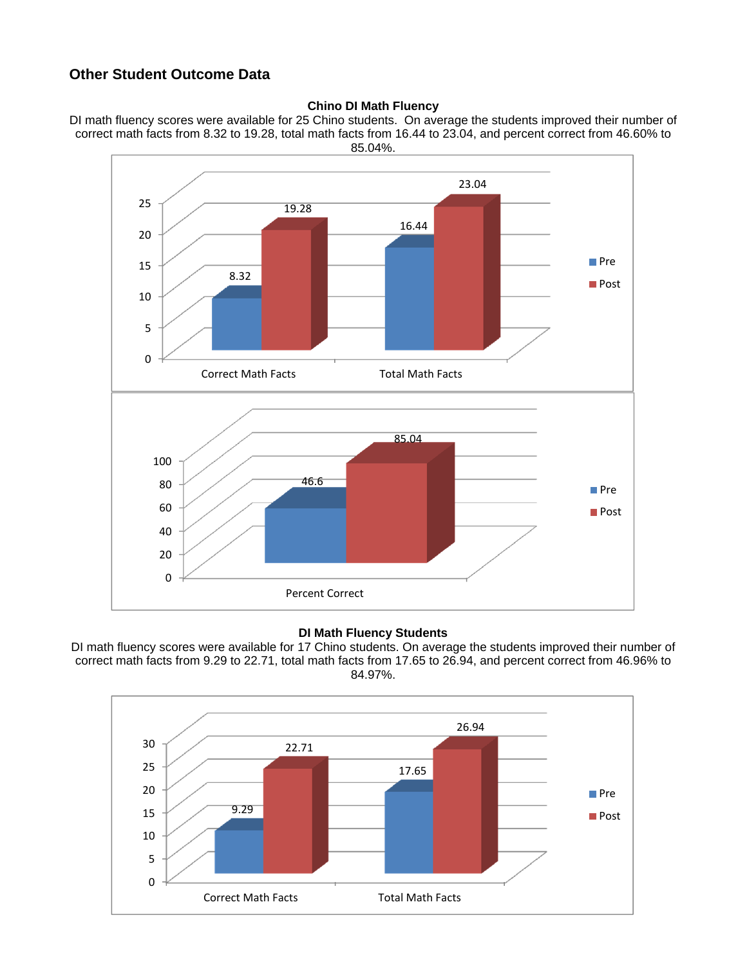## **Other Student Outcome Data**

#### **Chino DI Math Fluency**





#### **DI Math Fluency Students**

DI math fluency scores were available for 17 Chino students. On average the students improved their number of correct math facts from 9.29 to 22.71, total math facts from 17.65 to 26.94, and percent correct from 46.96% to 84.97%.

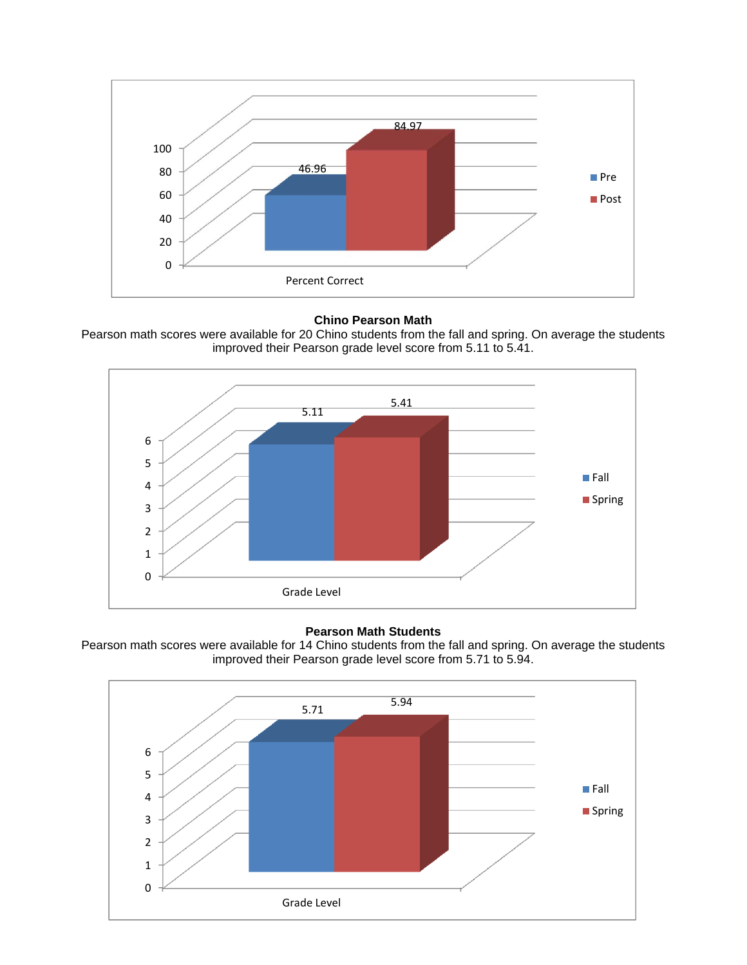

#### **Chino Pearson Math**

Pearson math scores were available for 20 Chino students from the fall and spring. On average the students improved their Pearson grade level score from 5.11 to 5.41.



#### **Pearson Math Students**



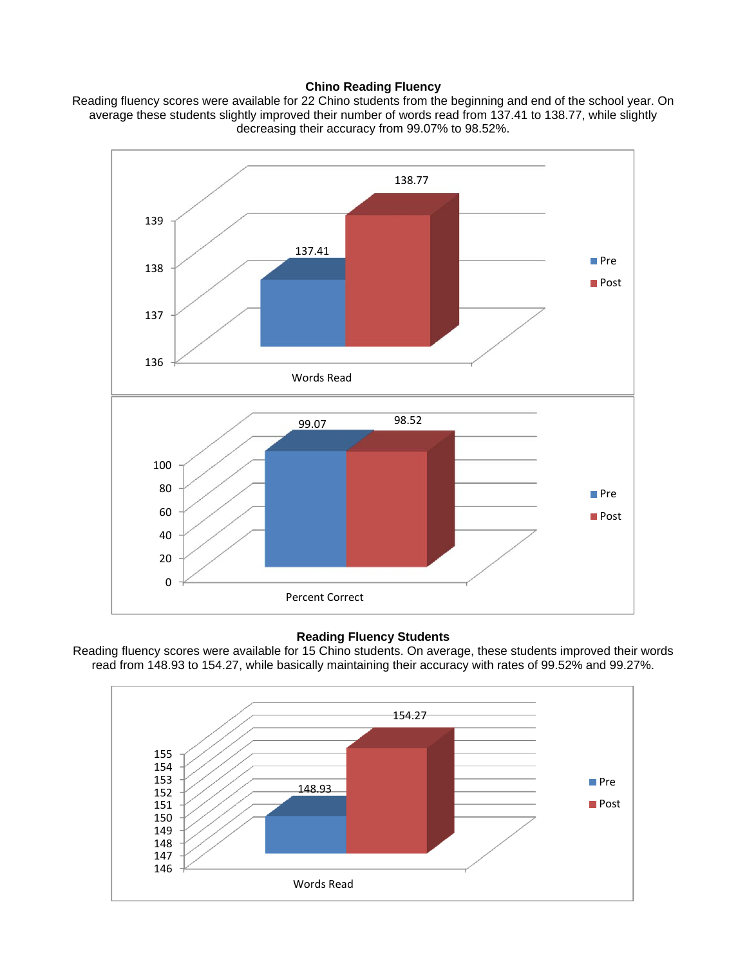#### **Chino Reading Fluency**

Reading fluency scores were available for 22 Chino students from the beginning and end of the school year. On average these students slightly improved their number of words read from 137.41 to 138.77, while slightly decreasing their accuracy from 99.07% to 98.52%.



#### **Reading Fluency Students**

Reading fluency scores were available for 15 Chino students. On average, these students improved their words read from 148.93 to 154.27, while basically maintaining their accuracy with rates of 99.52% and 99.27%.

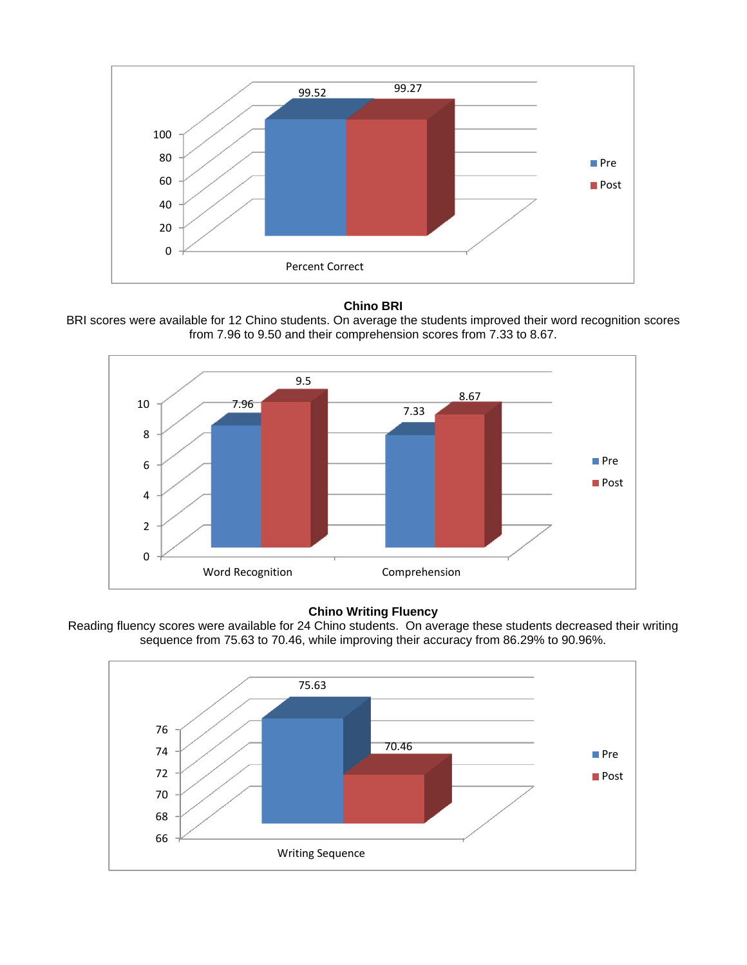

#### **Chino BRI**

BRI scores were available for 12 Chino students. On average the students improved their word recognition scores from 7.96 to 9.50 and their comprehension scores from 7.33 to 8.67.



#### **Chino Writing Fluency**



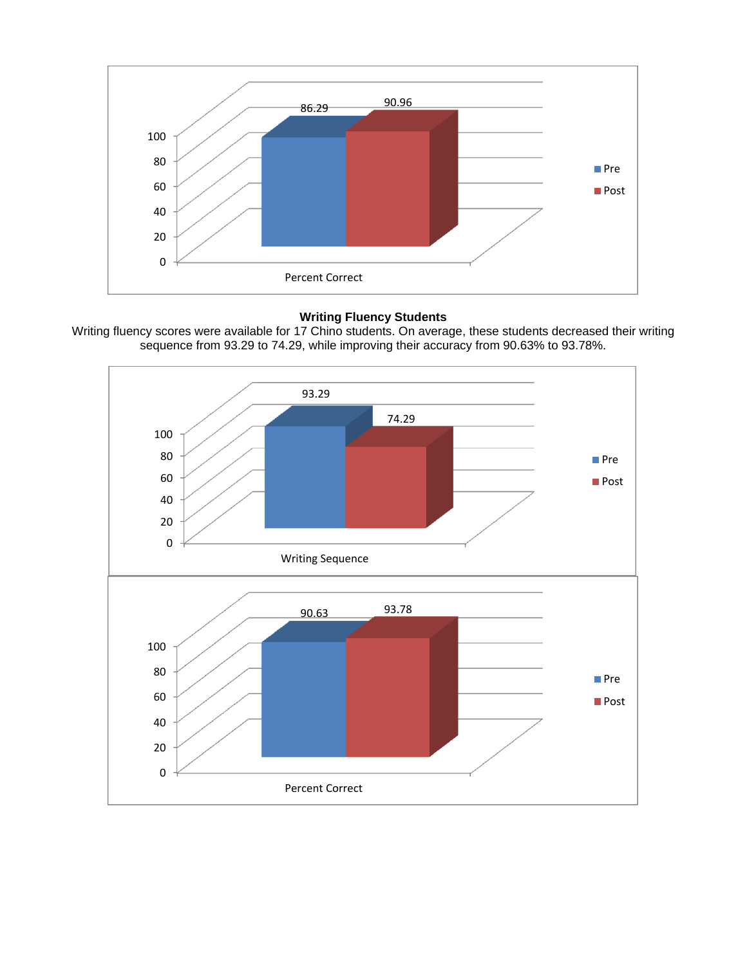

#### **Writing Fluency Students**

Writing fluency scores were available for 17 Chino students. On average, these students decreased their writing sequence from 93.29 to 74.29, while improving their accuracy from 90.63% to 93.78%.

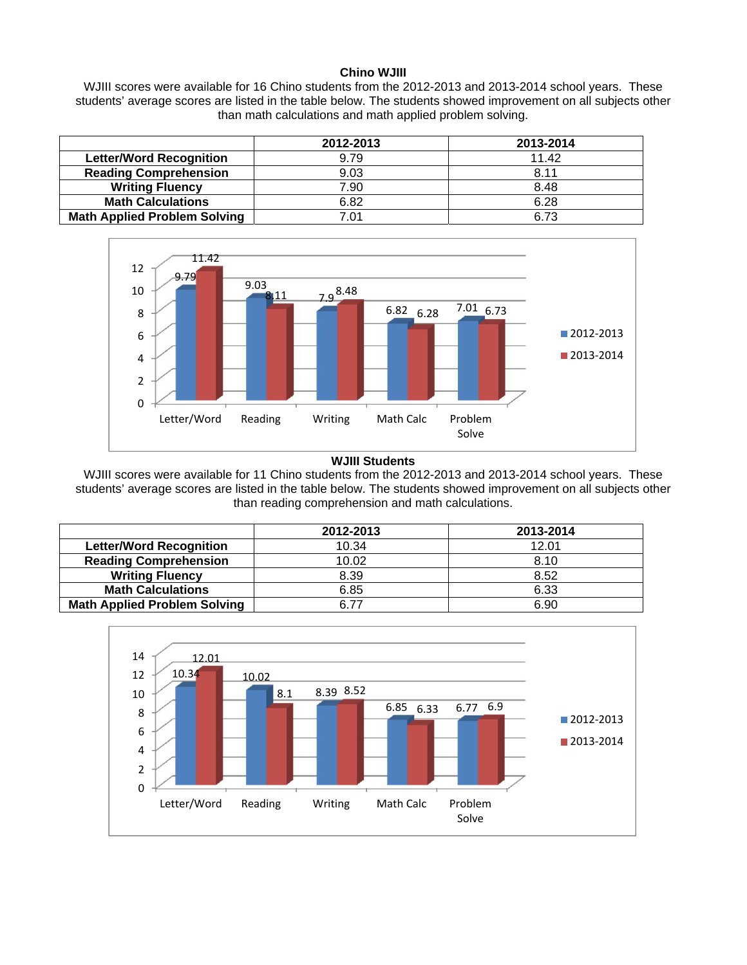#### **Chino WJIII**

WJIII scores were available for 16 Chino students from the 2012-2013 and 2013-2014 school years. These students' average scores are listed in the table below. The students showed improvement on all subjects other than math calculations and math applied problem solving.

|                                     | 2012-2013 | 2013-2014 |
|-------------------------------------|-----------|-----------|
| <b>Letter/Word Recognition</b>      | 9.79      | 11.42     |
| <b>Reading Comprehension</b>        | 9.03      | 8.11      |
| <b>Writing Fluency</b>              | 7.90      | 8.48      |
| <b>Math Calculations</b>            | 6.82      | 6.28      |
| <b>Math Applied Problem Solving</b> | 7.01      | 6.73      |



#### **WJIII Students**

WJIII scores were available for 11 Chino students from the 2012-2013 and 2013-2014 school years. These students' average scores are listed in the table below. The students showed improvement on all subjects other than reading comprehension and math calculations.

|                                     | 2012-2013 | 2013-2014 |
|-------------------------------------|-----------|-----------|
| <b>Letter/Word Recognition</b>      | 10.34     | 12.01     |
| <b>Reading Comprehension</b>        | 10.02     | 8.10      |
| <b>Writing Fluency</b>              | 8.39      | 8.52      |
| <b>Math Calculations</b>            | 6.85      | 6.33      |
| <b>Math Applied Problem Solving</b> | ճ 77      | 6.90      |

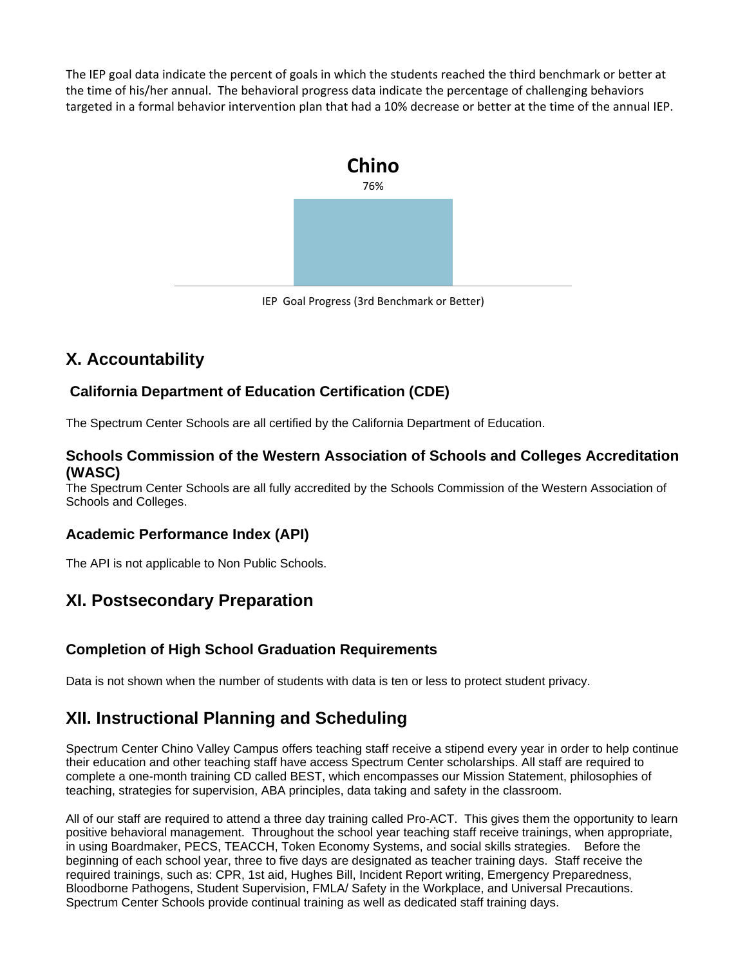The IEP goal data indicate the percent of goals in which the students reached the third benchmark or better at the time of his/her annual. The behavioral progress data indicate the percentage of challenging behaviors targeted in a formal behavior intervention plan that had a 10% decrease or better at the time of the annual IEP.



IEP Goal Progress (3rd Benchmark or Better)

## **X. Accountability**

## **California Department of Education Certification (CDE)**

The Spectrum Center Schools are all certified by the California Department of Education.

### **Schools Commission of the Western Association of Schools and Colleges Accreditation (WASC)**

The Spectrum Center Schools are all fully accredited by the Schools Commission of the Western Association of Schools and Colleges.

### **Academic Performance Index (API)**

The API is not applicable to Non Public Schools.

## **XI. Postsecondary Preparation**

## **Completion of High School Graduation Requirements**

Data is not shown when the number of students with data is ten or less to protect student privacy.

## **XII. Instructional Planning and Scheduling**

Spectrum Center Chino Valley Campus offers teaching staff receive a stipend every year in order to help continue their education and other teaching staff have access Spectrum Center scholarships. All staff are required to complete a one-month training CD called BEST, which encompasses our Mission Statement, philosophies of teaching, strategies for supervision, ABA principles, data taking and safety in the classroom.

All of our staff are required to attend a three day training called Pro-ACT. This gives them the opportunity to learn positive behavioral management. Throughout the school year teaching staff receive trainings, when appropriate, in using Boardmaker, PECS, TEACCH, Token Economy Systems, and social skills strategies. Before the beginning of each school year, three to five days are designated as teacher training days. Staff receive the required trainings, such as: CPR, 1st aid, Hughes Bill, Incident Report writing, Emergency Preparedness, Bloodborne Pathogens, Student Supervision, FMLA/ Safety in the Workplace, and Universal Precautions. Spectrum Center Schools provide continual training as well as dedicated staff training days.